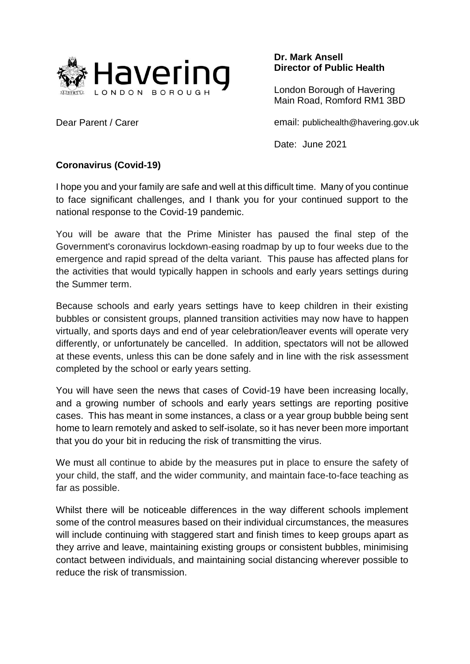

**Dr. Mark Ansell Director of Public Health**

London Borough of Havering Main Road, Romford RM1 3BD

email: publichealth@havering.gov.uk

Date: June 2021

## **Coronavirus (Covid-19)**

Dear Parent / Carer

I hope you and your family are safe and well at this difficult time. Many of you continue to face significant challenges, and I thank you for your continued support to the national response to the Covid-19 pandemic.

You will be aware that the Prime Minister has paused the final step of the Government's coronavirus lockdown-easing roadmap by up to four weeks due to the emergence and rapid spread of the delta variant. This pause has affected plans for the activities that would typically happen in schools and early years settings during the Summer term.

Because schools and early years settings have to keep children in their existing bubbles or consistent groups, planned transition activities may now have to happen virtually, and sports days and end of year celebration/leaver events will operate very differently, or unfortunately be cancelled. In addition, spectators will not be allowed at these events, unless this can be done safely and in line with the risk assessment completed by the school or early years setting.

You will have seen the news that cases of Covid-19 have been increasing locally, and a growing number of schools and early years settings are reporting positive cases. This has meant in some instances, a class or a year group bubble being sent home to learn remotely and asked to self-isolate, so it has never been more important that you do your bit in reducing the risk of transmitting the virus.

We must all continue to abide by the measures put in place to ensure the safety of your child, the staff, and the wider community, and maintain face-to-face teaching as far as possible.

Whilst there will be noticeable differences in the way different schools implement some of the control measures based on their individual circumstances, the measures will include continuing with staggered start and finish times to keep groups apart as they arrive and leave, maintaining existing groups or consistent bubbles, minimising contact between individuals, and maintaining social distancing wherever possible to reduce the risk of transmission.